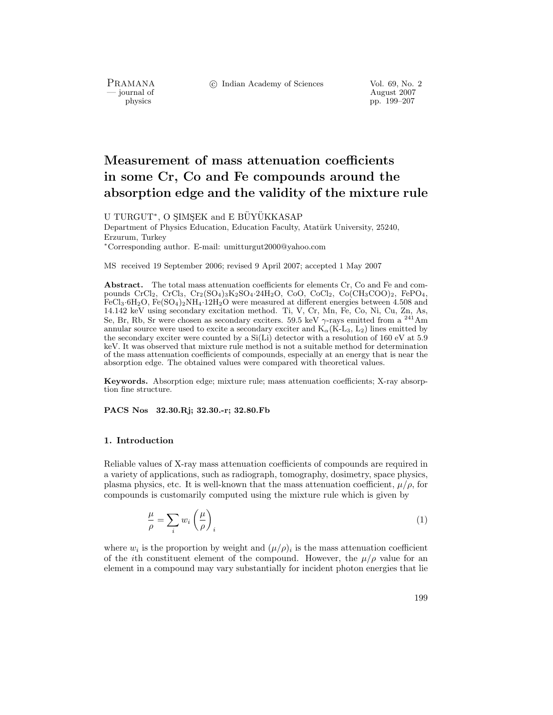PRAMANA<br>
— journal of

c Indian Academy of Sciences Vol. 69, No. 2

Proposition and of the set of the control of the control of the August 2007 physics that the control of the control of the control of the control of the control of the control of the control of the control of the control o physics pp. 199–207

# **Measurement of mass attenuation coefficients in some Cr, Co and Fe compounds around the absorption edge and the validity of the mixture rule**

U TURGUT<sup>\*</sup>, O SIMSEK and E BUYUKKASAP Department of Physics Education, Education Faculty, Atatürk University, 25240, Erzurum, Turkey <sup>∗</sup>Corresponding author. E-mail: umitturgut2000@yahoo.com

MS received 19 September 2006; revised 9 April 2007; accepted 1 May 2007

Abstract. The total mass attenuation coefficients for elements Cr, Co and Fe and compounds  $CrCl_2$ ,  $CrCl_3$ ,  $Cr_2(SO_4)_3K_2SO_4.24H_2O$ ,  $CoO$ ,  $CoCl_2$ ,  $Co(CH_3COO)_2$ ,  $FePO_4$ , FeCl<sub>3</sub>·6H<sub>2</sub>O, Fe(SO<sub>4</sub>)<sub>2</sub>NH<sub>4</sub>·12H<sub>2</sub>O were measured at different energies between 4.508 and 14.142 keV using secondary excitation method. Ti, V, Cr, Mn, Fe, Co, Ni, Cu, Zn, As, Se, Br, Rb, Sr were chosen as secondary exciters. 59.5 keV  $\gamma$ -rays emitted from a <sup>241</sup>Am annular source were used to excite a secondary exciter and  $K_{\alpha}(K-L_3, L_2)$  lines emitted by the secondary exciter were counted by a Si(Li) detector with a resolution of 160 eV at 5.9 keV. It was observed that mixture rule method is not a suitable method for determination of the mass attenuation coefficients of compounds, especially at an energy that is near the absorption edge. The obtained values were compared with theoretical values.

**Keywords.** Absorption edge; mixture rule; mass attenuation coefficients; X-ray absorption fine structure.

**PACS Nos 32.30.Rj; 32.30.-r; 32.80.Fb**

#### **1. Introduction**

Reliable values of X-ray mass attenuation coefficients of compounds are required in a variety of applications, such as radiograph, tomography, dosimetry, space physics, plasma physics, etc. It is well-known that the mass attenuation coefficient,  $\mu/\rho$ , for compounds is customarily computed using the mixture rule which is given by

$$
\frac{\mu}{\rho} = \sum_{i} w_i \left(\frac{\mu}{\rho}\right)_i \tag{1}
$$

where  $w_i$  is the proportion by weight and  $(\mu/\rho)_i$  is the mass attenuation coefficient of the *i*th constituent element of the compound. However, the  $\mu/\rho$  value for an element in a compound may vary substantially for incident photon energies that lie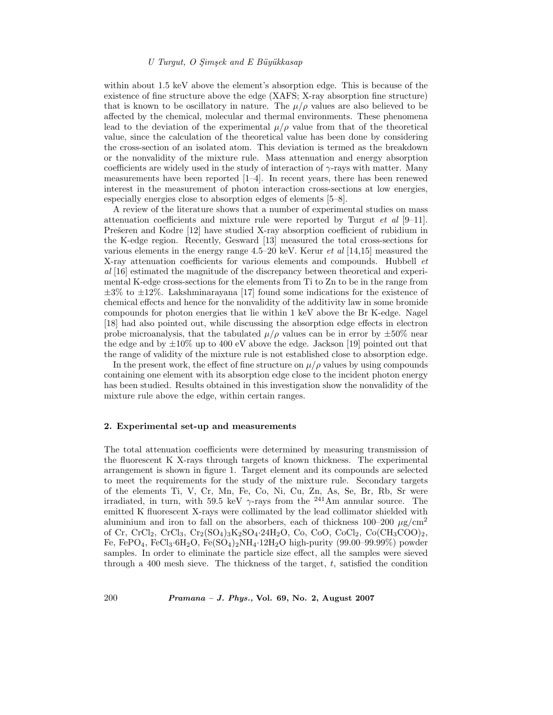#### *U Turgut, O S¸ims¸ek and E B¨uy¨ukkasap*

within about 1.5 keV above the element's absorption edge. This is because of the existence of fine structure above the edge (XAFS; X-ray absorption fine structure) that is known to be oscillatory in nature. The  $\mu/\rho$  values are also believed to be affected by the chemical, molecular and thermal environments. These phenomena lead to the deviation of the experimental  $\mu/\rho$  value from that of the theoretical value, since the calculation of the theoretical value has been done by considering the cross-section of an isolated atom. This deviation is termed as the breakdown or the nonvalidity of the mixture rule. Mass attenuation and energy absorption coefficients are widely used in the study of interaction of  $\gamma$ -rays with matter. Many measurements have been reported [1–4]. In recent years, there has been renewed interest in the measurement of photon interaction cross-sections at low energies, especially energies close to absorption edges of elements [5–8].

A review of the literature shows that a number of experimental studies on mass attenuation coefficients and mixture rule were reported by Turgut *et al* [9–11]. Prešeren and Kodre [12] have studied X-ray absorption coefficient of rubidium in the K-edge region. Recently, Gesward [13] measured the total cross-sections for various elements in the energy range 4.5–20 keV. Kerur *et al* [14,15] measured the X-ray attenuation coefficients for various elements and compounds. Hubbell *et al* [16] estimated the magnitude of the discrepancy between theoretical and experimental K-edge cross-sections for the elements from Ti to Zn to be in the range from *±*3% to *±*12%. Lakshminarayana [17] found some indications for the existence of chemical effects and hence for the nonvalidity of the additivity law in some bromide compounds for photon energies that lie within 1 keV above the Br K-edge. Nagel [18] had also pointed out, while discussing the absorption edge effects in electron probe microanalysis, that the tabulated  $\mu/\rho$  values can be in error by  $\pm 50\%$  near the edge and by *±*10% up to 400 eV above the edge. Jackson [19] pointed out that the range of validity of the mixture rule is not established close to absorption edge.

In the present work, the effect of fine structure on  $\mu/\rho$  values by using compounds containing one element with its absorption edge close to the incident photon energy has been studied. Results obtained in this investigation show the nonvalidity of the mixture rule above the edge, within certain ranges.

#### **2. Experimental set-up and measurements**

The total attenuation coefficients were determined by measuring transmission of the fluorescent K X-rays through targets of known thickness. The experimental arrangement is shown in figure 1. Target element and its compounds are selected to meet the requirements for the study of the mixture rule. Secondary targets of the elements Ti, V, Cr, Mn, Fe, Co, Ni, Cu, Zn, As, Se, Br, Rb, Sr were irradiated, in turn, with 59.5 keV  $\gamma$ -rays from the <sup>241</sup>Am annular source. The emitted K fluorescent X-rays were collimated by the lead collimator shielded with aluminium and iron to fall on the absorbers, each of thickness  $100-200 \mu g/cm^2$ of Cr, CrCl2, CrCl3, Cr2(SO4)3K2SO4*·*24H2O, Co, CoO, CoCl2, Co(CH3COO)2, Fe, FePO4, FeCl3*·*6H2O, Fe(SO4)2NH4*·*12H2O high-purity (99.00–99.99%) powder samples. In order to eliminate the particle size effect, all the samples were sieved through a 400 mesh sieve. The thickness of the target,  $t$ , satisfied the condition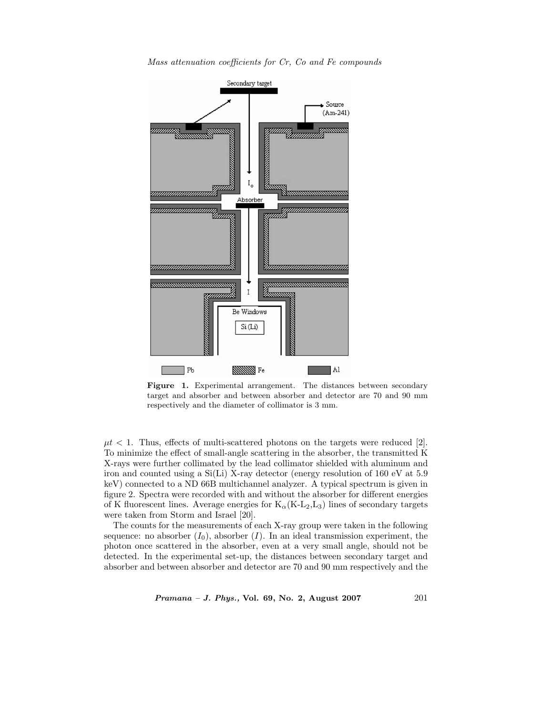



Figure 1. Experimental arrangement. The distances between secondary target and absorber and between absorber and detector are 70 and 90 mm respectively and the diameter of collimator is 3 mm.

 $\mu t$  < 1. Thus, effects of multi-scattered photons on the targets were reduced [2]. To minimize the effect of small-angle scattering in the absorber, the transmitted K X-rays were further collimated by the lead collimator shielded with aluminum and iron and counted using a Si(Li) X-ray detector (energy resolution of 160 eV at 5.9 keV) connected to a ND 66B multichannel analyzer. A typical spectrum is given in figure 2. Spectra were recorded with and without the absorber for different energies of K fluorescent lines. Average energies for  $K_{\alpha}(K-L_2,L_3)$  lines of secondary targets were taken from Storm and Israel [20].

The counts for the measurements of each X-ray group were taken in the following sequence: no absorber  $(I_0)$ , absorber  $(I)$ . In an ideal transmission experiment, the photon once scattered in the absorber, even at a very small angle, should not be detected. In the experimental set-up, the distances between secondary target and absorber and between absorber and detector are 70 and 90 mm respectively and the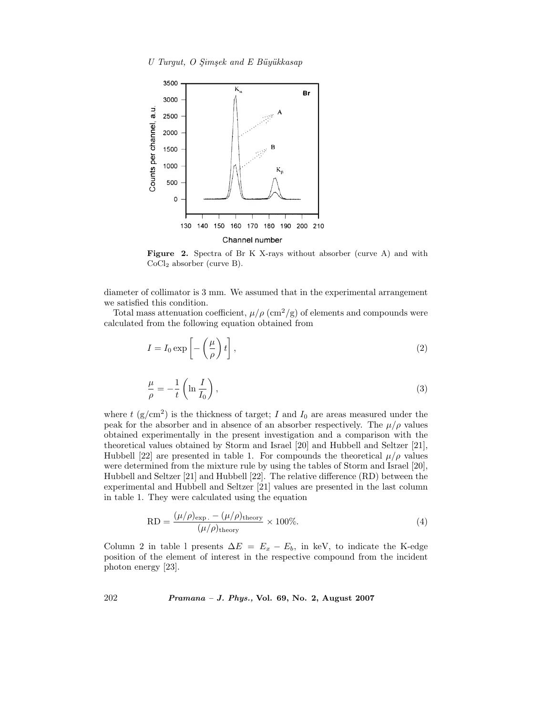

**Figure 2.** Spectra of Br K X-rays without absorber (curve A) and with CoCl<sup>2</sup> absorber (curve B).

diameter of collimator is 3 mm. We assumed that in the experimental arrangement we satisfied this condition.

Total mass attenuation coefficient,  $\mu/\rho$  (cm<sup>2</sup>/g) of elements and compounds were calculated from the following equation obtained from

$$
I = I_0 \exp\left[-\left(\frac{\mu}{\rho}\right)t\right],\tag{2}
$$

$$
\frac{\mu}{\rho} = -\frac{1}{t} \left( \ln \frac{I}{I_0} \right),\tag{3}
$$

where t  $(g/cm^2)$  is the thickness of target; I and  $I_0$  are areas measured under the peak for the absorber and in absence of an absorber respectively. The  $\mu/\rho$  values obtained experimentally in the present investigation and a comparison with the theoretical values obtained by Storm and Israel [20] and Hubbell and Seltzer [21], Hubbell [22] are presented in table 1. For compounds the theoretical  $\mu/\rho$  values were determined from the mixture rule by using the tables of Storm and Israel [20], Hubbell and Seltzer [21] and Hubbell [22]. The relative difference (RD) between the experimental and Hubbell and Seltzer [21] values are presented in the last column in table 1. They were calculated using the equation

$$
RD = \frac{(\mu/\rho)_{\text{exp.}} - (\mu/\rho)_{\text{theory}}}{(\mu/\rho)_{\text{theory}}} \times 100\%.
$$
 (4)

Column 2 in table l presents  $\Delta E = E_x - E_b$ , in keV, to indicate the K-edge position of the element of interest in the respective compound from the incident photon energy [23].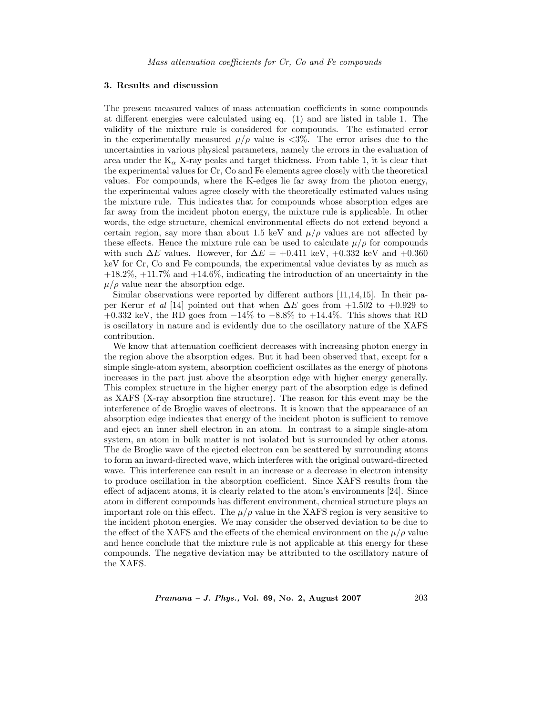#### **3. Results and discussion**

The present measured values of mass attenuation coefficients in some compounds at different energies were calculated using eq. (1) and are listed in table 1. The validity of the mixture rule is considered for compounds. The estimated error in the experimentally measured  $\mu/\rho$  value is <3%. The error arises due to the uncertainties in various physical parameters, namely the errors in the evaluation of area under the  $K_{\alpha}$  X-ray peaks and target thickness. From table 1, it is clear that the experimental values for Cr, Co and Fe elements agree closely with the theoretical values. For compounds, where the K-edges lie far away from the photon energy, the experimental values agree closely with the theoretically estimated values using the mixture rule. This indicates that for compounds whose absorption edges are far away from the incident photon energy, the mixture rule is applicable. In other words, the edge structure, chemical environmental effects do not extend beyond a certain region, say more than about 1.5 keV and  $\mu/\rho$  values are not affected by these effects. Hence the mixture rule can be used to calculate  $\mu/\rho$  for compounds with such  $\Delta E$  values. However, for  $\Delta E = +0.411$  keV,  $+0.332$  keV and  $+0.360$ keV for Cr, Co and Fe compounds, the experimental value deviates by as much as  $+18.2\%, +11.7\%$  and  $+14.6\%$ , indicating the introduction of an uncertainty in the  $\mu/\rho$  value near the absorption edge.

Similar observations were reported by different authors [11,14,15]. In their paper Kerur *et al* [14] pointed out that when  $\Delta E$  goes from  $+1.502$  to  $+0.929$  to +0.332 keV, the RD goes from *−*14% to *−*8.8% to +14.4%. This shows that RD is oscillatory in nature and is evidently due to the oscillatory nature of the XAFS contribution.

We know that attenuation coefficient decreases with increasing photon energy in the region above the absorption edges. But it had been observed that, except for a simple single-atom system, absorption coefficient oscillates as the energy of photons increases in the part just above the absorption edge with higher energy generally. This complex structure in the higher energy part of the absorption edge is defined as XAFS (X-ray absorption fine structure). The reason for this event may be the interference of de Broglie waves of electrons. It is known that the appearance of an absorption edge indicates that energy of the incident photon is sufficient to remove and eject an inner shell electron in an atom. In contrast to a simple single-atom system, an atom in bulk matter is not isolated but is surrounded by other atoms. The de Broglie wave of the ejected electron can be scattered by surrounding atoms to form an inward-directed wave, which interferes with the original outward-directed wave. This interference can result in an increase or a decrease in electron intensity to produce oscillation in the absorption coefficient. Since XAFS results from the effect of adjacent atoms, it is clearly related to the atom's environments [24]. Since atom in different compounds has different environment, chemical structure plays an important role on this effect. The  $\mu/\rho$  value in the XAFS region is very sensitive to the incident photon energies. We may consider the observed deviation to be due to the effect of the XAFS and the effects of the chemical environment on the  $\mu/\rho$  value and hence conclude that the mixture rule is not applicable at this energy for these compounds. The negative deviation may be attributed to the oscillatory nature of the XAFS.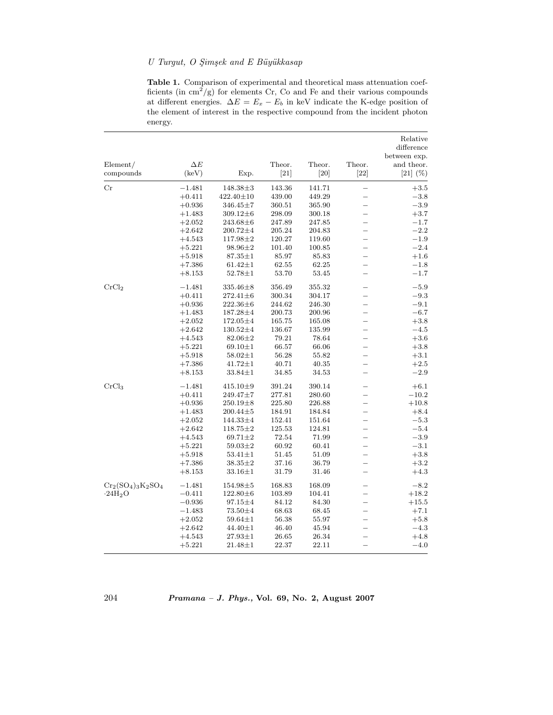### *U Turgut, O S¸ims¸ek and E B¨uy¨ukkasap*

**Table 1.** Comparison of experimental and theoretical mass attenuation coefficients (in  $\text{cm}^2/\text{g}$ ) for elements Cr, Co and Fe and their various compounds at different energies.  $\Delta E = E_x - E_b$  in keV indicate the K-edge position of the element of interest in the respective compound from the incident photon energy.

| Element/              | $\Delta E$ |                | Theor. | Theor. | Theor.                   | Relative<br>difference<br>between exp.<br>and theor. |
|-----------------------|------------|----------------|--------|--------|--------------------------|------------------------------------------------------|
| compounds             | (keV)      | Exp.           | [21]   | $[20]$ | $[22]$                   | $[21]$ $(\%)$                                        |
| Cr                    | $-1.481$   | $148.38 \pm 3$ | 143.36 | 141.71 | $\overline{\phantom{0}}$ | $+3.5$                                               |
|                       | $+0.411$   | 422.40±10      | 439.00 | 449.29 |                          | $-3.8$                                               |
|                       | $+0.936$   | $346.45 \pm 7$ | 360.51 | 365.90 | $\overline{\phantom{0}}$ | $-3.9$                                               |
|                       | $+1.483$   | $309.12 \pm 6$ | 298.09 | 300.18 | $\equiv$                 | $+3.7$                                               |
|                       | $+2.052$   | $243.68\pm 6$  | 247.89 | 247.85 | $\equiv$                 | $-1.7$                                               |
|                       | $+2.642$   | $200.72 \pm 4$ | 205.24 | 204.83 | $\overline{\phantom{0}}$ | $-2.2$                                               |
|                       | $+4.543$   | $117.98 \pm 2$ | 120.27 | 119.60 | $\overline{\phantom{0}}$ | $-1.9$                                               |
|                       | $+5.221$   | $98.96 \pm 2$  | 101.40 | 100.85 | $\equiv$                 | $-2.4$                                               |
|                       | $+5.918$   | $87.35 \pm 1$  | 85.97  | 85.83  | $\overline{\phantom{0}}$ | $+1.6$                                               |
|                       | $+7.386$   | $61.42 \pm 1$  | 62.55  | 62.25  | $\equiv$                 | $-1.8$                                               |
|                       | $+8.153$   | $52.78 \pm 1$  | 53.70  | 53.45  | $\equiv$                 | $-1.7$                                               |
| CrCl <sub>2</sub>     | $-1.481$   | $335.46 \pm 8$ | 356.49 | 355.32 | $\overline{\phantom{0}}$ | $-5.9$                                               |
|                       | $+0.411$   | $272.41 \pm 6$ | 300.34 | 304.17 | $\overline{\phantom{0}}$ | $-9.3$                                               |
|                       | $+0.936$   | $222.36\pm 6$  | 244.62 | 246.30 | $\overline{\phantom{0}}$ | $-9.1$                                               |
|                       | $+1.483$   | 187.28±4       | 200.73 | 200.96 | $\overline{\phantom{0}}$ | $-6.7$                                               |
|                       | $+2.052$   | $172.05 \pm 4$ | 165.75 | 165.08 | $\overline{\phantom{0}}$ | $+3.8$                                               |
|                       | $+2.642$   | $130.52 \pm 4$ | 136.67 | 135.99 | $\overline{\phantom{0}}$ | $-4.5$                                               |
|                       | $+4.543$   | $82.06 \pm 2$  | 79.21  | 78.64  | $\overline{\phantom{0}}$ | $+3.6$                                               |
|                       | $+5.221$   | $69.10 \pm 1$  | 66.57  | 66.06  | $\overline{\phantom{0}}$ | $+3.8$                                               |
|                       | $+5.918$   | $58.02 \pm 1$  | 56.28  | 55.82  | $\equiv$                 | $+3.1$                                               |
|                       | $+7.386$   | $41.72 \pm 1$  | 40.71  | 40.35  | $\overline{\phantom{0}}$ | $+2.5$                                               |
|                       | $+8.153$   | $33.84 \pm 1$  | 34.85  | 34.53  | $\equiv$                 | $-2.9$                                               |
| CrCl <sub>3</sub>     | $-1.481$   | $415.10 \pm 9$ | 391.24 | 390.14 | $=$                      | $+6.1$                                               |
|                       | $+0.411$   | $249.47 \pm 7$ | 277.81 | 280.60 | $\overline{\phantom{0}}$ | $-10.2$                                              |
|                       | $+0.936$   | $250.19\pm8$   | 225.80 | 226.88 | $\overline{\phantom{0}}$ | $+10.8$                                              |
|                       | $+1.483$   | $200.44 \pm 5$ | 184.91 | 184.84 | $\equiv$                 | $+8.4$                                               |
|                       | $+2.052$   | 144.33±4       | 152.41 | 151.64 | $\overline{\phantom{0}}$ | $-5.3$                                               |
|                       | $+2.642$   | $118.75 \pm 2$ | 125.53 | 124.81 |                          | $-5.4$                                               |
|                       | $+4.543$   | $69.71 \pm 2$  | 72.54  | 71.99  |                          | $-3.9$                                               |
|                       | $+5.221$   | $59.03 \pm 2$  | 60.92  | 60.41  |                          | $-3.1$                                               |
|                       | $+5.918$   | $53.41 \pm 1$  | 51.45  | 51.09  | —                        | $+3.8$                                               |
|                       | $+7.386$   | $38.35 \pm 2$  | 37.16  | 36.79  | —                        | $+3.2$                                               |
|                       | $+8.153$   | $33.16 \pm 1$  | 31.79  | 31.46  | $\overline{\phantom{0}}$ | $+4.3$                                               |
| $Cr_2(SO_4)_3K_2SO_4$ | $-1.481$   | $154.98 \pm 5$ | 168.83 | 168.09 | $\overline{\phantom{0}}$ | $-8.2$                                               |
| $-24H2O$              | $-0.411$   | $122.80 \pm 6$ | 103.89 | 104.41 | $\overline{\phantom{0}}$ | $+18.2$                                              |
|                       | $-0.936$   | $97.15 \pm 4$  | 84.12  | 84.30  | $\overline{\phantom{0}}$ | $+15.5$                                              |
|                       | $-1.483$   | 73.50 $\pm 4$  | 68.63  | 68.45  | $\overline{\phantom{0}}$ | $+7.1$                                               |
|                       | $+2.052$   | $59.64 \pm 1$  | 56.38  | 55.97  | $\overline{\phantom{0}}$ | $+5.8$                                               |
|                       | $+2.642$   | $44.40 \pm 1$  | 46.40  | 45.94  | $\overline{\phantom{0}}$ | $-4.3$                                               |
|                       | $+4.543$   | $27.93 \pm 1$  | 26.65  | 26.34  |                          | $+4.8$                                               |
|                       | $+5.221$   | $21.48 \pm 1$  | 22.37  | 22.11  |                          | $-4.0$                                               |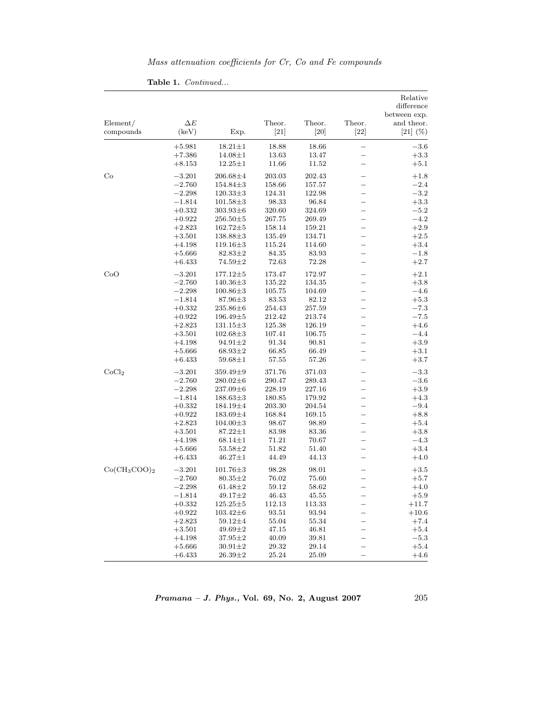| Mass attenuation coefficients for Cr, Co and Fe compounds |  |  |  |  |
|-----------------------------------------------------------|--|--|--|--|
|                                                           |  |  |  |  |

|                       |                                         |                |                  |                |                          | Relative<br>difference<br>between exp. |
|-----------------------|-----------------------------------------|----------------|------------------|----------------|--------------------------|----------------------------------------|
| Element/<br>compounds | $\Delta E$<br>$\left(\text{keV}\right)$ | Exp.           | Theor.<br>$[21]$ | Theor.<br>[20] | Theor.<br>$[22]$         | and theor.<br>$[21]$ $(\%)$            |
|                       | $+5.981$                                | $18.21 \pm 1$  | 18.88            | 18.66          | $\overline{\phantom{0}}$ | $-3.6$                                 |
|                       | $+7.386$                                | $14.08 \pm 1$  | 13.63            | 13.47          | $\overline{\phantom{0}}$ | $+3.3$                                 |
|                       | $+8.153$                                | $12.25 \pm 1$  | 11.66            | 11.52          | $\overline{\phantom{0}}$ | $+5.1$                                 |
| Co                    | $-3.201$                                | $206.68 + 4$   | 203.03           | 202.43         | $\equiv$                 | $+1.8$                                 |
|                       | $-2.760$                                | $154.84 \pm 3$ | 158.66           | 157.57         |                          | $-2.4$                                 |
|                       | $-2.298$                                | $120.33 \pm 3$ | 124.31           | 122.98         | $\equiv$                 | $-3.2$                                 |
|                       | $-1.814$                                | $101.58 \pm 3$ | 98.33            | 96.84          | $\overline{\phantom{0}}$ | $+3.3$                                 |
|                       | $+0.332$                                | $303.93 \pm 6$ | 320.60           | 324.69         |                          | $-5.2$                                 |
|                       | $+0.922$                                | $256.50 \pm 5$ | 267.75           | 269.49         | $\overline{\phantom{0}}$ | $-4.2$                                 |
|                       | $+2.823$                                | $162.72 \pm 5$ | 158.14           | 159.21         | $\overline{\phantom{0}}$ | $+2.9$                                 |
|                       | $+3.501$                                | $138.88 \pm 3$ | 135.49           | 134.71         | $\overline{\phantom{0}}$ | $+2.5$                                 |
|                       | $+4.198$                                | 119.16±3       | 115.24           | 114.60         | $\overline{\phantom{0}}$ | $+3.4$                                 |
|                       | $+5.666$                                | $82.83 \pm 2$  | 84.35            | 83.93          | $\overline{\phantom{0}}$ | $-1.8$                                 |
|                       | $+6.433$                                | 74.59±2        | 72.63            | 72.28          | $\overline{\phantom{0}}$ | $+2.7$                                 |
| CoO                   | $-3.201$                                | $177.12 \pm 5$ | 173.47           | 172.97         |                          | $+2.1\,$                               |
|                       | $-2.760$                                | $140.36 \pm 3$ | 135.22           | 134.35         |                          | $+3.8$                                 |
|                       | $-2.298$                                | $100.86 \pm 3$ | 105.75           | 104.69         |                          | $-4.6$                                 |
|                       | $-1.814$                                | 87.96±3        | 83.53            | 82.12          | $\overline{\phantom{0}}$ | $+5.3$                                 |
|                       | $+0.332$                                | $235.86\pm 6$  | 254.43           | 257.59         | $\overline{\phantom{0}}$ | $-7.3$                                 |
|                       | $+0.922$                                | $196.49 \pm 5$ | 212.42           | 213.74         |                          | $-7.5$                                 |
|                       | $+2.823$                                | $131.15 \pm 3$ | 125.38           | 126.19         | $\overline{\phantom{0}}$ | $+4.6$                                 |
|                       | $+3.501$                                | $102.68 \pm 3$ | 107.41           | 106.75         | $\overline{\phantom{0}}$ | $-4.4$                                 |
|                       | $+4.198$                                | $94.91 \pm 2$  | 91.34            | 90.81          | —                        | $+3.9$                                 |
|                       | $+5.666$                                | $68.93 \pm 2$  | 66.85            | 66.49          |                          | $+3.1$                                 |
|                       | $+6.433$                                | $59.68 \pm 1$  | 57.55            | 57.26          | $\overline{\phantom{0}}$ | $+3.7$                                 |
| CoCl <sub>2</sub>     | $-3.201$                                | $359.49 \pm 9$ | 371.76           | 371.03         | $\overline{\phantom{0}}$ | $-3.3$                                 |
|                       | $-2.760$                                | $280.02 \pm 6$ | 290.47           | 289.43         | $\overline{\phantom{0}}$ | $-3.6$                                 |
|                       | $-2.298$                                | $237.09\pm 6$  | 228.19           | 227.16         |                          | $+3.9$                                 |
|                       | $-1.814$                                | $188.63 \pm 3$ | 180.85           | 179.92         |                          | $+4.3$                                 |
|                       | $+0.332$                                | 184.19±4       | 203.30           | 204.54         | $\overline{\phantom{0}}$ | $-9.4$                                 |
|                       | $+0.922$                                | $183.69 \pm 4$ | 168.84           | 169.15         | $\overline{\phantom{0}}$ | $+8.8$                                 |
|                       | $+2.823$                                | $104.00 \pm 3$ | 98.67            | 98.89          |                          | $+5.4$                                 |
|                       | $+3.501$                                | $87.22 \pm 1$  | 83.98            | 83.36          | $\overline{\phantom{0}}$ | $+3.8$                                 |
|                       | $+4.198$                                | $68.14 \pm 1$  | 71.21            | 70.67          | $\overline{\phantom{0}}$ | $-4.3$                                 |
|                       | $+5.666$                                | $53.58 \pm 2$  | 51.82            | 51.40          | $\overline{\phantom{0}}$ | $+3.4$                                 |
|                       | $+6.433$                                | $46.27 \pm 1$  | 44.49            | 44.13          | $\overline{\phantom{0}}$ | $+4.0$                                 |
| $Co(CH_3COO)_2$       | $-3.201$                                | $101.76 \pm 3$ | 98.28            | 98.01          | ▃                        | $+3.5$                                 |
|                       | $-2.760$                                | $80.35 \pm 2$  | 76.02            | 75.60          | -                        | $+5.7$                                 |
|                       | $-2.298$                                | $61.48 \pm 2$  | 59.12            | 58.62          | $\overline{\phantom{0}}$ | $+4.0$                                 |
|                       | $-1.814$                                | $49.17 \pm 2$  | 46.43            | 45.55          | $\equiv$                 | $+5.9$                                 |
|                       | $+0.332$                                | $125.25 \pm 5$ | 112.13           | 113.33         |                          | $+11.7$                                |
|                       | $+0.922$                                | $103.42 \pm 6$ | 93.51            | 93.94          | $\overline{\phantom{0}}$ | $+10.6$                                |
|                       | $+2.823$                                | $59.12 \pm 4$  | 55.04            | 55.34          | $\overline{\phantom{0}}$ | $+7.4$                                 |
|                       | $+3.501$                                | $49.69 \pm 2$  | 47.15            | 46.81          |                          | $+5.4$                                 |
|                       | $+4.198$                                | $37.95 \pm 2$  | 40.09            | 39.81          | $\overline{\phantom{0}}$ | $-5.3$                                 |
|                       | $+5.666$                                | $30.91 \pm 2$  | 29.32            | 29.14          | $\overline{\phantom{0}}$ | $+5.4$                                 |
|                       | $+6.433$                                | 26.39±2        | 25.24            | 25.09          |                          | $+4.6$                                 |

**Table 1.** *Continued...*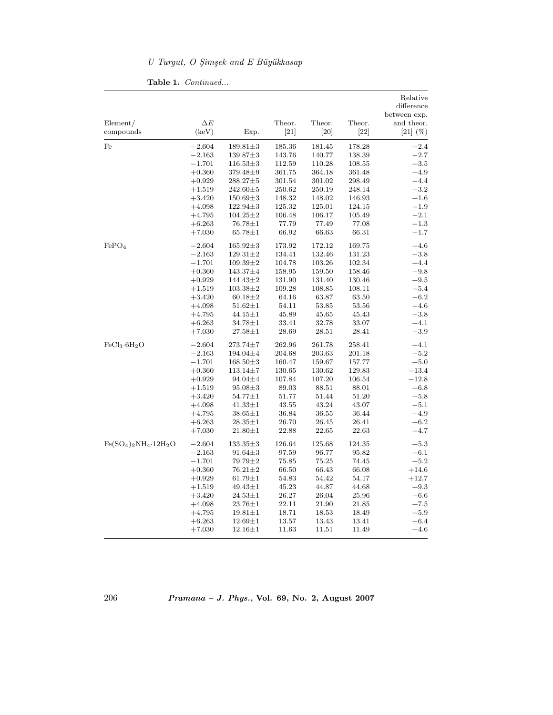## *U Turgut, O S¸ims¸ek and E B¨uy¨ukkasap*

|                                      |                     |                |                  |                  |                  | Relative<br>difference<br>between exp. |
|--------------------------------------|---------------------|----------------|------------------|------------------|------------------|----------------------------------------|
| Element/<br>compounds                | $\Delta E$<br>(keV) | Exp.           | Theor.<br>$[21]$ | Theor.<br>$[20]$ | Theor.<br>$[22]$ | and theor.<br>$[21]$ $(\%)$            |
| Fe                                   | $-2.604$            | $189.81 \pm 3$ | 185.36           | 181.45           | 178.28           | $+2.4$                                 |
|                                      | $-2.163$            | $139.87 \pm 3$ | 143.76           | 140.77           | 138.39           | $-2.7$                                 |
|                                      | $-1.701$            | $116.53\pm3$   | 112.59           | 110.28           | 108.55           | $+3.5$                                 |
|                                      | $+0.360$            | 379.48±9       | 361.75           | 364.18           | 361.48           | $+4.9$                                 |
|                                      | $+0.929$            | 288.27±5       | 301.54           | 301.02           | 298.49           | $-4.4$                                 |
|                                      | $+1.519$            | $242.60 \pm 5$ | 250.62           | 250.19           | 248.14           | $-3.2$                                 |
|                                      | $+3.420$            | $150.69 \pm 3$ | 148.32           | 148.02           | 146.93           | $+1.6$                                 |
|                                      | $+4.098$            | $122.94 \pm 3$ | 125.32           | 125.01           | 124.15           | $-1.9$                                 |
|                                      | $+4.795$            | $104.25 \pm 2$ | 106.48           | 106.17           | 105.49           | $-2.1$                                 |
|                                      | $+6.263$            | $76.78 \pm 1$  | 77.79            | 77.49            | 77.08            | $-1.3$                                 |
|                                      | $+7.030$            | $65.78 \pm 1$  | 66.92            | 66.63            | 66.31            | $-1.7$                                 |
| FePO <sub>4</sub>                    | $-2.604$            | $165.92 \pm 3$ | 173.92           | 172.12           | 169.75           | $-4.6$                                 |
|                                      | $-2.163$            | $129.31 \pm 2$ | 134.41           | 132.46           | 131.23           | $-3.8$                                 |
|                                      | $-1.701$            | $109.39 \pm 2$ | 104.78           | 103.26           | 102.34           | $+4.4$                                 |
|                                      | $+0.360$            | 143.37±4       | 158.95           | 159.50           | 158.46           | $-9.8$                                 |
|                                      | $+0.929$            | 144.43±2       | 131.90           | 131.40           | 130.46           | $+9.5$                                 |
|                                      | $+1.519$            | $103.38 \pm 2$ | 109.28           | 108.85           | 108.11           | $-5.4$                                 |
|                                      | $+3.420$            | $60.18 \pm 2$  | 64.16            | 63.87            | 63.50            | $-6.2$                                 |
|                                      | $+4.098$            | $51.62 \pm 1$  | 54.11            | 53.85            | 53.56            | $-4.6$                                 |
|                                      | $+4.795$            | $44.15 \pm 1$  | 45.89            | 45.65            | 45.43            | $-3.8$                                 |
|                                      | $+6.263$            | $34.78 \pm 1$  | 33.41            | 32.78            | 33.07            | $+4.1$                                 |
|                                      | $+7.030$            | $27.58 \pm 1$  | 28.69            | 28.51            | 28.41            | $-3.9$                                 |
| FeCl <sub>3</sub> ·6H <sub>2</sub> O | $-2.604$            | $273.74 \pm 7$ | 262.96           | 261.78           | 258.41           | $+4.1$                                 |
|                                      | $-2.163$            | 194.04±4       | 204.68           | 203.63           | 201.18           | $-5.2$                                 |
|                                      | $-1.701$            | $168.50 \pm 3$ | 160.47           | 159.67           | 157.77           | $+5.0$                                 |
|                                      | $+0.360$            | $113.14 \pm 7$ | 130.65           | 130.62           | 129.83           | $-13.4$                                |
|                                      | $+0.929$            | 94.04±4        | 107.84           | 107.20           | 106.54           | $-12.8$                                |
|                                      | $+1.519$            | $95.08 \pm 3$  | 89.03            | 88.51            | 88.01            | $+6.8$                                 |
|                                      | $+3.420$            | $54.77 \pm 1$  | 51.77            | 51.44            | 51.20            | $+5.8$                                 |
|                                      | $+4.098$            | $41.33 \pm 1$  | 43.55            | 43.24            | 43.07            | $-5.1$                                 |
|                                      | $+4.795$            | $38.65 \pm 1$  | 36.84            | 36.55            | 36.44            | $+4.9$                                 |
|                                      | $+6.263$            | $28.35 \pm 1$  | 26.70            | 26.45            | 26.41            | $+6.2$                                 |
|                                      | $+7.030$            | $21.80 \pm 1$  | 22.88            | 22.65            | 22.63            | $-4.7$                                 |
| $Fe(SO_4)_2NH_4.12H_2O$              | $-2.604$            | $133.35 \pm 3$ | $126.64\,$       | 125.68           | 124.35           | $+5.3$                                 |
|                                      | $-2.163$            | $91.64 \pm 3$  | 97.59            | 96.77            | 95.82            | $-6.1$                                 |
|                                      | $-1.701$            | 79.79±2        | 75.85            | 75.25            | 74.45            | $+5.2$                                 |
|                                      | $+0.360$            | $76.21 \pm 2$  | 66.50            | 66.43            | 66.08            | $+14.6$                                |
|                                      | $+0.929$            | $61.79 \pm 1$  | 54.83            | 54.42            | 54.17            | $+12.7$                                |
|                                      | $+1.519$            | $49.43 \pm 1$  | 45.23            | 44.87            | 44.68            | $+9.3$                                 |
|                                      | $+3.420$            | $24.53 \pm 1$  | 26.27            | 26.04            | 25.96            | $-6.6$                                 |
|                                      | $+4.098$            | $23.76 \pm 1$  | 22.11            | 21.90            | 21.85            | $+7.5$                                 |
|                                      | $+4.795$            | $19.81 \pm 1$  | 18.71            | 18.53            | 18.49            | $+5.9$                                 |
|                                      | $+6.263$            | $12.69 \pm 1$  | 13.57            | 13.43            | 13.41            | $-6.4$                                 |
|                                      | $+7.030$            | $12.16 \pm 1$  | 11.63            | 11.51            | 11.49            | $+4.6$                                 |